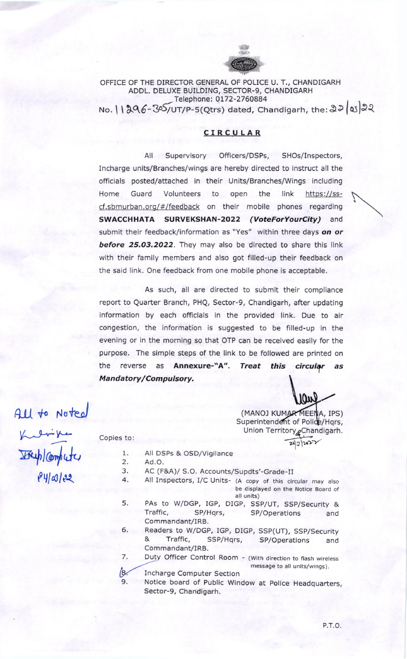

## OFFICE OF THE DIRECTOR GENERAL OF POLICE U. T., CHANDIGARH ADDL. DELUXE BUILDING, SECTOR-9, CHANDIGARH Telephone: 0172-2760884 No. | | 296-305/UT/P-5(Qtrs) dated, Chandigarh, the: 22 | 03 22

# CIRCULAR

Supervisory Officers/DSPs, SHOs/Inspectors,  $All$ Incharge units/Branches/wings are hereby directed to instruct all the officials posted/attached in their Units/Branches/Wings including Guard Volunteers the link Home to open https://sscf.sbmurban.org/#/feedback on their mobile phones regarding SWACCHHATA SURVEKSHAN-2022 (VoteForYourCity) and submit their feedback/information as "Yes" within three days on or before 25.03.2022. They may also be directed to share this link with their family members and also got filled-up their feedback on the said link. One feedback from one mobile phone is acceptable.

As such, all are directed to submit their compliance report to Quarter Branch, PHQ, Sector-9, Chandigarh, after updating information by each officials in the provided link. Due to air congestion, the information is suggested to be filled-up in the evening or in the morning so that OTP can be received easily for the purpose. The simple steps of the link to be followed are printed on **Treat** the reverse as **Annexure-"A"**. this circular as Mandatory/Compulsory.

All to Noted

(MANOJ KUMAR MEENA, IPS)<br>Superintendent of Police/Hqrs, Union Territory<sub>g</sub>Chandigarh.

 $24|2|202$ 

**IOM** 

 $841@122$ 

- All DSPs & OSD/Vigilance  $1$  .
- $\overline{2}$ . Ad.O.

Copies to:

- AC (F&A)/ S.O. Accounts/Supdts'-Grade-II 3.
- $\overline{4}$ . All Inspectors, I/C Units- (A copy of this circular may also be displayed on the Notice Board of all units)
- PAs to W/DGP, IGP, DIGP, SSP/UT, SSP/Security & 5. Traffic, SP/Hqrs, SP/Operations and Commandant/IRB.
- 6. Readers to W/DGP, IGP, DIGP, SSP(UT), SSP/Security & Traffic. SSP/Hqrs, SP/Operations and Commandant/IRB.
- 7. Duty Officer Control Room - (With direction to flash wireless message to all units/wings).
- $\beta$ . Incharge Computer Section
- Notice board of Public Window at Police Headquarters, 9. Sector-9, Chandigarh.